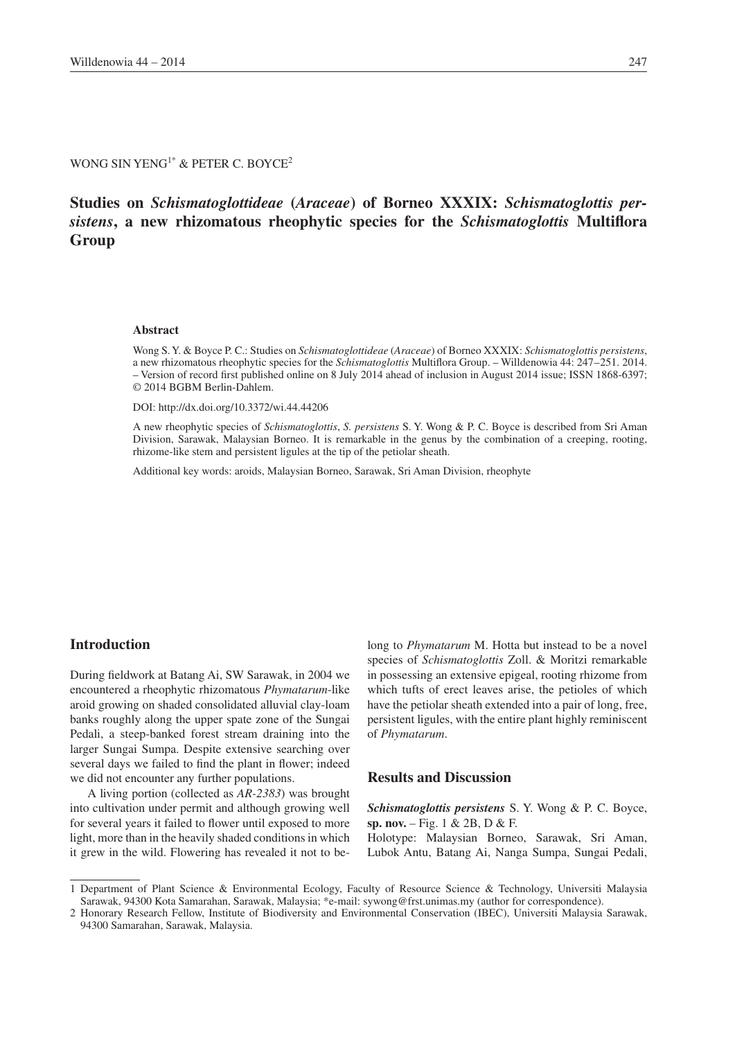# WONG SIN YENG<sup>1\*</sup> & PETER C. BOYCE<sup>2</sup>

# **Studies on** *Schismatoglottideae* **(***Araceae***) of Borneo XXXIX:** *Schismatoglottis persistens***, a new rhizomatous rheophytic species for the** *Schismatoglottis* **Multiflora Group**

## **Abstract**

Wong S. Y. & Boyce P. C.: Studies on *Schismatoglottideae* (*Araceae*) of Borneo XXXIX: *Schismatoglottis persistens*, a new rhizomatous rheophytic species for the *Schismatoglottis* Multiflora Group. – Willdenowia 44: 247–251. 2014. – Version of record first published online on 8 July 2014 ahead of inclusion in August 2014 issue; ISSN 1868-6397; © 2014 BGBM Berlin-Dahlem.

DOI: http://dx.doi.org/10.3372/wi.44.44206

A new rheophytic species of *Schismatoglottis*, *S. persistens* S. Y. Wong & P. C. Boyce is described from Sri Aman Division, Sarawak, Malaysian Borneo. It is remarkable in the genus by the combination of a creeping, rooting, rhizome-like stem and persistent ligules at the tip of the petiolar sheath.

Additional key words: aroids, Malaysian Borneo, Sarawak, Sri Aman Division, rheophyte

#### **Introduction**

During fieldwork at Batang Ai, SW Sarawak, in 2004 we encountered a rheophytic rhizomatous *Phymatarum*-like aroid growing on shaded consolidated alluvial clay-loam banks roughly along the upper spate zone of the Sungai Pedali, a steep-banked forest stream draining into the larger Sungai Sumpa. Despite extensive searching over several days we failed to find the plant in flower; indeed we did not encounter any further populations.

A living portion (collected as *AR-2383*) was brought into cultivation under permit and although growing well for several years it failed to flower until exposed to more light, more than in the heavily shaded conditions in which it grew in the wild. Flowering has revealed it not to belong to *Phymatarum* M. Hotta but instead to be a novel species of *Schismatoglottis* Zoll. & Moritzi remarkable in possessing an extensive epigeal, rooting rhizome from which tufts of erect leaves arise, the petioles of which have the petiolar sheath extended into a pair of long, free, persistent ligules, with the entire plant highly reminiscent of *Phymatarum*.

# **Results and Discussion**

*Schismatoglottis persistens* S. Y. Wong & P. C. Boyce, **sp. nov.** – Fig. 1 & 2B, D & F.

Holotype: Malaysian Borneo, Sarawak, Sri Aman, Lubok Antu, Batang Ai, Nanga Sumpa, Sungai Pedali,

<sup>1</sup> Department of Plant Science & Environmental Ecology, Faculty of Resource Science & Technology, Universiti Malaysia Sarawak, 94300 Kota Samarahan, Sarawak, Malaysia; \*e-mail: sywong@frst.unimas.my (author for correspondence).

<sup>2</sup> Honorary Research Fellow, Institute of Biodiversity and Environmental Conservation (IBEC), Universiti Malaysia Sarawak, 94300 Samarahan, Sarawak, Malaysia.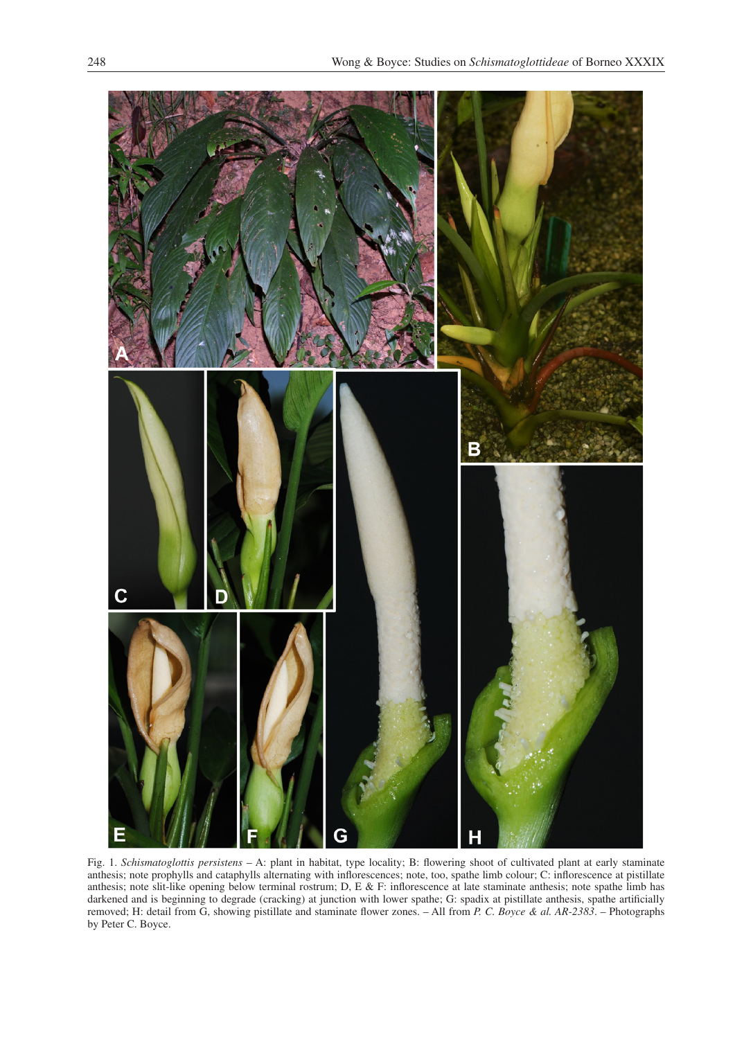

Fig. 1. *Schismatoglottis persistens* – A: plant in habitat, type locality; B: flowering shoot of cultivated plant at early staminate anthesis; note prophylls and cataphylls alternating with inflorescences; note, too, spathe limb colour; C: inflorescence at pistillate anthesis; note slit-like opening below terminal rostrum; D, E & F: inflorescence at late staminate anthesis; note spathe limb has darkened and is beginning to degrade (cracking) at junction with lower spathe; G: spadix at pistillate anthesis, spathe artificially removed; H: detail from G, showing pistillate and staminate flower zones. – All from *P. C. Boyce & al. AR-2383*. – Photographs by Peter C. Boyce.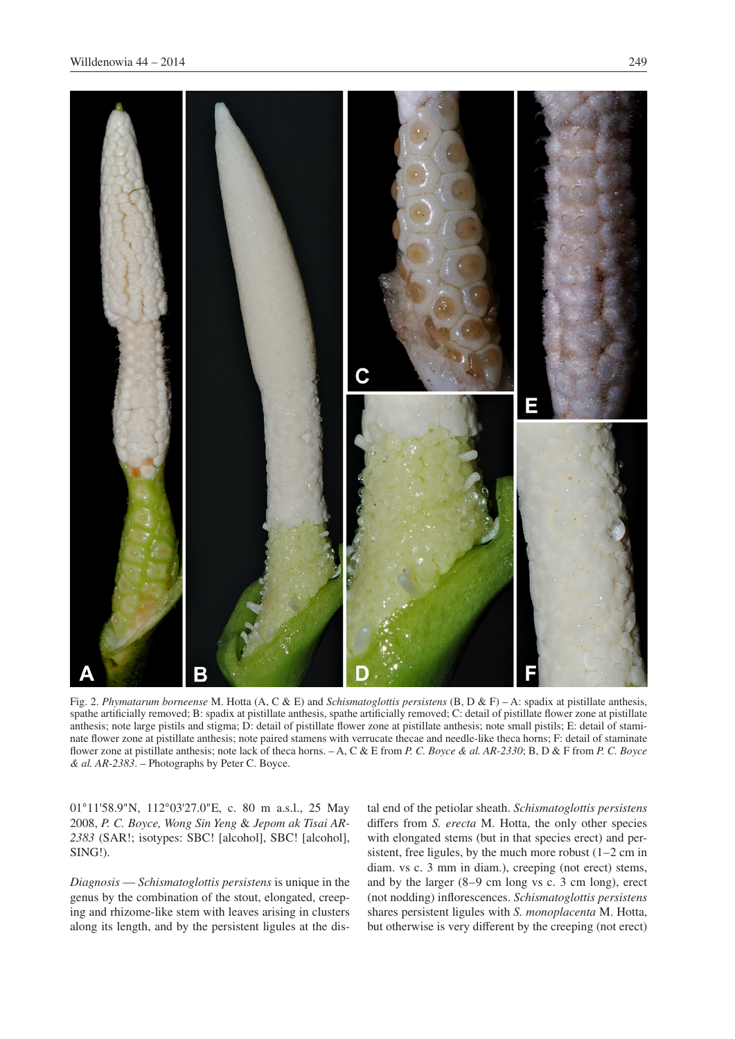

Fig. 2. *Phymatarum borneense* M. Hotta (A, C & E) and *Schismatoglottis persistens* (B, D & F) – A: spadix at pistillate anthesis, spathe artificially removed; B: spadix at pistillate anthesis, spathe artificially removed; C: detail of pistillate flower zone at pistillate anthesis; note large pistils and stigma; D: detail of pistillate flower zone at pistillate anthesis; note small pistils; E: detail of staminate flower zone at pistillate anthesis; note paired stamens with verrucate thecae and needle-like theca horns; F: detail of staminate flower zone at pistillate anthesis; note lack of theca horns. – A, C & E from *P. C. Boyce & al. AR-2330*; B, D & F from *P. C. Boyce & al. AR-2383*. – Photographs by Peter C. Boyce.

01°11'58.9"N, 112°03'27.0"E, c. 80 m a.s.l., 25 May 2008, *P. C. Boyce, Wong Sin Yeng* & *Jepom ak Tisai AR-2383* (SAR!; isotypes: SBC! [alcohol], SBC! [alcohol], SING!).

*Diagnosis* — *Schismatoglottis persistens* is unique in the genus by the combination of the stout, elongated, creeping and rhizome-like stem with leaves arising in clusters along its length, and by the persistent ligules at the distal end of the petiolar sheath. *Schismatoglottis persistens* differs from *S. erecta* M. Hotta, the only other species with elongated stems (but in that species erect) and persistent, free ligules, by the much more robust (1–2 cm in diam. vs c. 3 mm in diam.), creeping (not erect) stems, and by the larger (8–9 cm long vs c. 3 cm long), erect (not nodding) inflorescences. *Schismatoglottis persistens* shares persistent ligules with *S. monoplacenta* M. Hotta, but otherwise is very different by the creeping (not erect)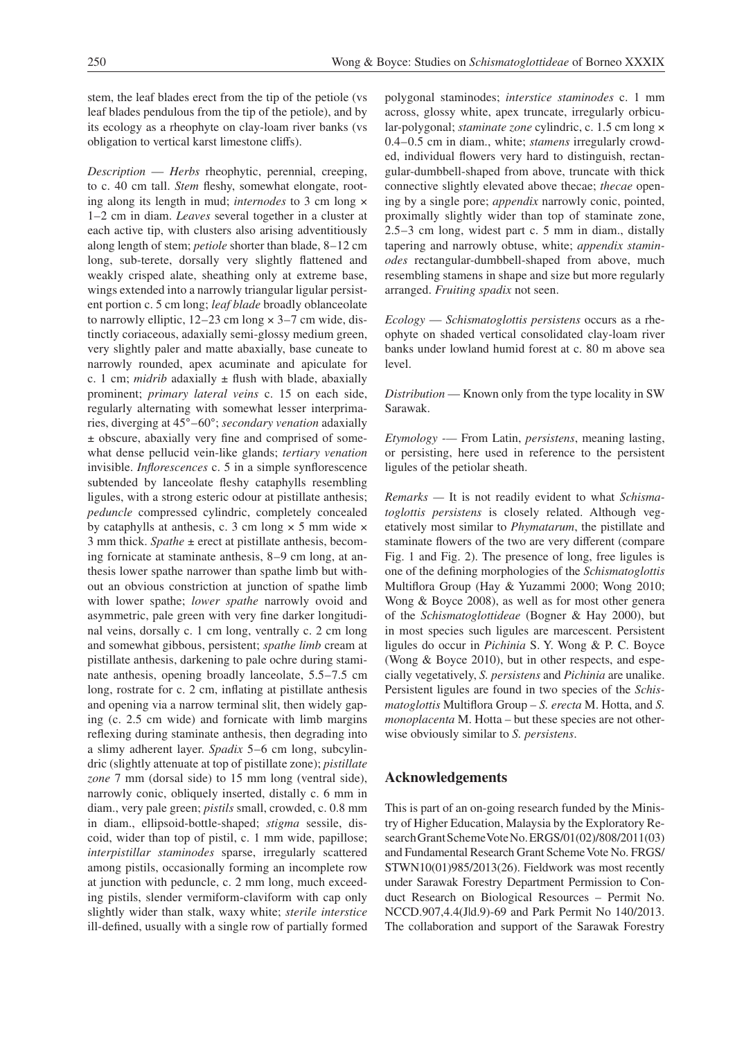stem, the leaf blades erect from the tip of the petiole (vs leaf blades pendulous from the tip of the petiole), and by its ecology as a rheophyte on clay-loam river banks (vs obligation to vertical karst limestone cliffs).

*Description* — *Herbs* rheophytic, perennial, creeping, to c. 40 cm tall. *Stem* fleshy, somewhat elongate, rooting along its length in mud; *internodes* to 3 cm long × 1–2 cm in diam. *Leaves* several together in a cluster at each active tip, with clusters also arising adventitiously along length of stem; *petiole* shorter than blade, 8–12 cm long, sub-terete, dorsally very slightly flattened and weakly crisped alate, sheathing only at extreme base, wings extended into a narrowly triangular ligular persistent portion c. 5 cm long; *leaf blade* broadly oblanceolate to narrowly elliptic, 12–23 cm long × 3–7 cm wide, distinctly coriaceous, adaxially semi-glossy medium green, very slightly paler and matte abaxially, base cuneate to narrowly rounded, apex acuminate and apiculate for c. 1 cm; *midrib* adaxially  $\pm$  flush with blade, abaxially prominent; *primary lateral veins* c. 15 on each side, regularly alternating with somewhat lesser interprimaries, diverging at 45°–60°; *secondary venation* adaxially ± obscure, abaxially very fine and comprised of somewhat dense pellucid vein-like glands; *tertiary venation* invisible. *Inflorescences* c. 5 in a simple synflorescence subtended by lanceolate fleshy cataphylls resembling ligules, with a strong esteric odour at pistillate anthesis; *peduncle* compressed cylindric, completely concealed by cataphylls at anthesis, c. 3 cm long  $\times$  5 mm wide  $\times$ 3 mm thick. *Spathe* ± erect at pistillate anthesis, becoming fornicate at staminate anthesis, 8–9 cm long, at anthesis lower spathe narrower than spathe limb but without an obvious constriction at junction of spathe limb with lower spathe; *lower spathe* narrowly ovoid and asymmetric, pale green with very fine darker longitudinal veins, dorsally c. 1 cm long, ventrally c. 2 cm long and somewhat gibbous, persistent; *spathe limb* cream at pistillate anthesis, darkening to pale ochre during staminate anthesis, opening broadly lanceolate, 5.5–7.5 cm long, rostrate for c. 2 cm, inflating at pistillate anthesis and opening via a narrow terminal slit, then widely gaping (c. 2.5 cm wide) and fornicate with limb margins reflexing during staminate anthesis, then degrading into a slimy adherent layer. *Spadix* 5–6 cm long, subcylindric (slightly attenuate at top of pistillate zone); *pistillate zone* 7 mm (dorsal side) to 15 mm long (ventral side), narrowly conic, obliquely inserted, distally c. 6 mm in diam., very pale green; *pistils* small, crowded, c. 0.8 mm in diam., ellipsoid-bottle-shaped; *stigma* sessile, discoid, wider than top of pistil, c. 1 mm wide, papillose; *interpistillar staminodes* sparse, irregularly scattered among pistils, occasionally forming an incomplete row at junction with peduncle, c. 2 mm long, much exceeding pistils, slender vermiform-claviform with cap only slightly wider than stalk, waxy white; *sterile interstice* ill-defined, usually with a single row of partially formed polygonal staminodes; *interstice staminodes* c. 1 mm across, glossy white, apex truncate, irregularly orbicular-polygonal; *staminate zone* cylindric, c. 1.5 cm long × 0.4–0.5 cm in diam., white; *stamens* irregularly crowded, individual flowers very hard to distinguish, rectangular-dumbbell-shaped from above, truncate with thick connective slightly elevated above thecae; *thecae* opening by a single pore; *appendix* narrowly conic, pointed, proximally slightly wider than top of staminate zone, 2.5–3 cm long, widest part c. 5 mm in diam., distally tapering and narrowly obtuse, white; *appendix staminodes* rectangular-dumbbell-shaped from above, much resembling stamens in shape and size but more regularly arranged. *Fruiting spadix* not seen.

*Ecology* — *Schismatoglottis persistens* occurs as a rheophyte on shaded vertical consolidated clay-loam river banks under lowland humid forest at c. 80 m above sea level.

*Distribution* — Known only from the type locality in SW Sarawak.

*Etymology -—* From Latin, *persistens*, meaning lasting, or persisting, here used in reference to the persistent ligules of the petiolar sheath.

*Remarks —* It is not readily evident to what *Schismatoglottis persistens* is closely related. Although vegetatively most similar to *Phymatarum*, the pistillate and staminate flowers of the two are very different (compare Fig. 1 and Fig. 2). The presence of long, free ligules is one of the defining morphologies of the *Schismatoglottis* Multiflora Group (Hay & Yuzammi 2000; Wong 2010; Wong & Boyce 2008), as well as for most other genera of the *Schismatoglottideae* (Bogner & Hay 2000), but in most species such ligules are marcescent. Persistent ligules do occur in *Pichinia* S. Y. Wong & P. C. Boyce (Wong & Boyce 2010), but in other respects, and especially vegetatively, *S. persistens* and *Pichinia* are unalike. Persistent ligules are found in two species of the *Schismatoglottis* Multiflora Group – *S. erecta* M. Hotta, and *S. monoplacenta* M. Hotta – but these species are not otherwise obviously similar to *S. persistens*.

#### **Acknowledgements**

This is part of an on-going research funded by the Ministry of Higher Education, Malaysia by the Exploratory Research Grant Scheme Vote No. ERGS/01(02)/808/2011(03) and Fundamental Research Grant Scheme Vote No. FRGS/ STWN10(01)985/2013(26). Fieldwork was most recently under Sarawak Forestry Department Permission to Conduct Research on Biological Resources – Permit No. NCCD.907,4.4(J|d.9)-69 and Park Permit No 140/2013. The collaboration and support of the Sarawak Forestry